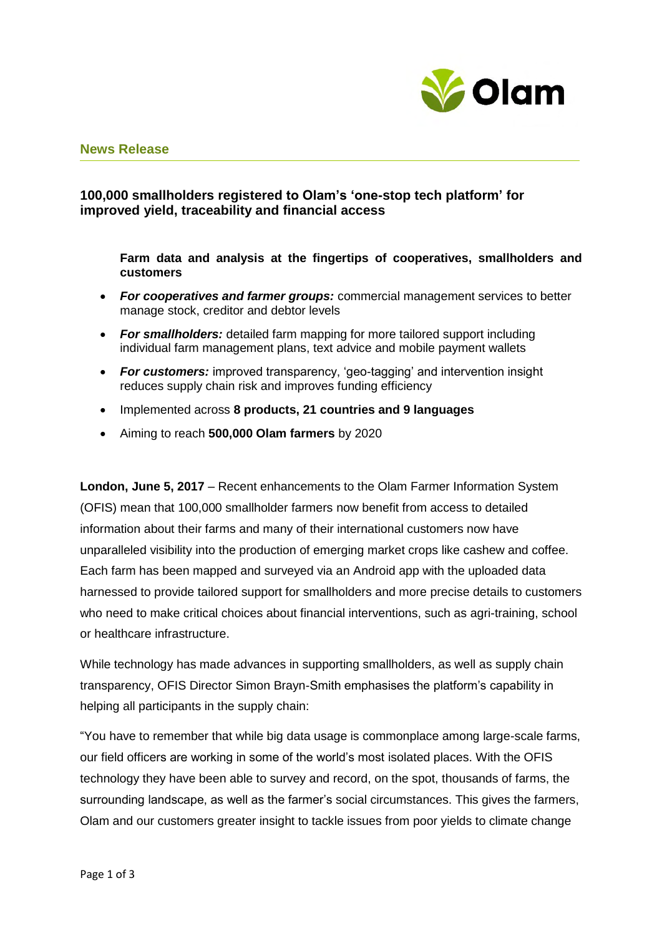

### **News Release**

# **100,000 smallholders registered to Olam's 'one-stop tech platform' for improved yield, traceability and financial access**

**Farm data and analysis at the fingertips of cooperatives, smallholders and customers** 

- *For cooperatives and farmer groups:* commercial management services to better manage stock, creditor and debtor levels
- *For smallholders:* detailed farm mapping for more tailored support including individual farm management plans, text advice and mobile payment wallets
- *For customers:* improved transparency, 'geo-tagging' and intervention insight reduces supply chain risk and improves funding efficiency
- Implemented across **8 products, 21 countries and 9 languages**
- Aiming to reach **500,000 Olam farmers** by 2020

**London, June 5, 2017** – Recent enhancements to the Olam Farmer Information System (OFIS) mean that 100,000 smallholder farmers now benefit from access to detailed information about their farms and many of their international customers now have unparalleled visibility into the production of emerging market crops like cashew and coffee. Each farm has been mapped and surveyed via an Android app with the uploaded data harnessed to provide tailored support for smallholders and more precise details to customers who need to make critical choices about financial interventions, such as agri-training, school or healthcare infrastructure.

While technology has made advances in supporting smallholders, as well as supply chain transparency, OFIS Director Simon Brayn-Smith emphasises the platform's capability in helping all participants in the supply chain:

"You have to remember that while big data usage is commonplace among large-scale farms, our field officers are working in some of the world's most isolated places. With the OFIS technology they have been able to survey and record, on the spot, thousands of farms, the surrounding landscape, as well as the farmer's social circumstances. This gives the farmers, Olam and our customers greater insight to tackle issues from poor yields to climate change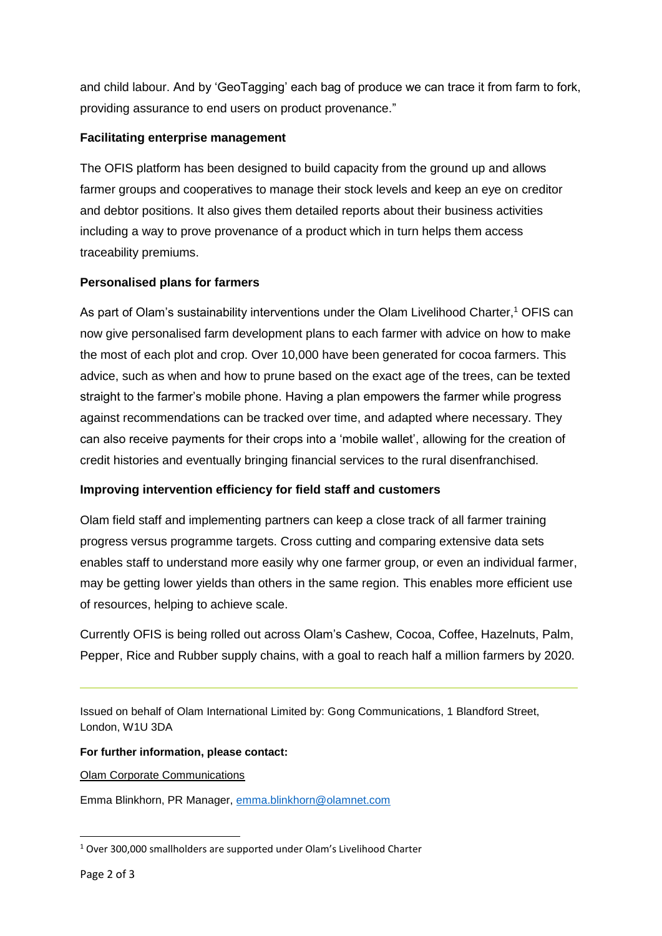and child labour. And by 'GeoTagging' each bag of produce we can trace it from farm to fork, providing assurance to end users on product provenance."

# **Facilitating enterprise management**

The OFIS platform has been designed to build capacity from the ground up and allows farmer groups and cooperatives to manage their stock levels and keep an eye on creditor and debtor positions. It also gives them detailed reports about their business activities including a way to prove provenance of a product which in turn helps them access traceability premiums.

### **Personalised plans for farmers**

As part of Olam's sustainability interventions under the Olam Livelihood Charter,<sup>1</sup> OFIS can now give personalised farm development plans to each farmer with advice on how to make the most of each plot and crop. Over 10,000 have been generated for cocoa farmers. This advice, such as when and how to prune based on the exact age of the trees, can be texted straight to the farmer's mobile phone. Having a plan empowers the farmer while progress against recommendations can be tracked over time, and adapted where necessary. They can also receive payments for their crops into a 'mobile wallet', allowing for the creation of credit histories and eventually bringing financial services to the rural disenfranchised.

### **Improving intervention efficiency for field staff and customers**

Olam field staff and implementing partners can keep a close track of all farmer training progress versus programme targets. Cross cutting and comparing extensive data sets enables staff to understand more easily why one farmer group, or even an individual farmer, may be getting lower yields than others in the same region. This enables more efficient use of resources, helping to achieve scale.

Currently OFIS is being rolled out across Olam's Cashew, Cocoa, Coffee, Hazelnuts, Palm, Pepper, Rice and Rubber supply chains, with a goal to reach half a million farmers by 2020.

Issued on behalf of Olam International Limited by: Gong Communications, 1 Blandford Street, London, W1U 3DA

**For further information, please contact:** 

Olam Corporate Communications

Emma Blinkhorn, PR Manager, [emma.blinkhorn@olamnet.com](mailto:emma.blinkhorn@olamnet.com) 

**.** 

<sup>1</sup> Over 300,000 smallholders are supported under Olam's Livelihood Charter